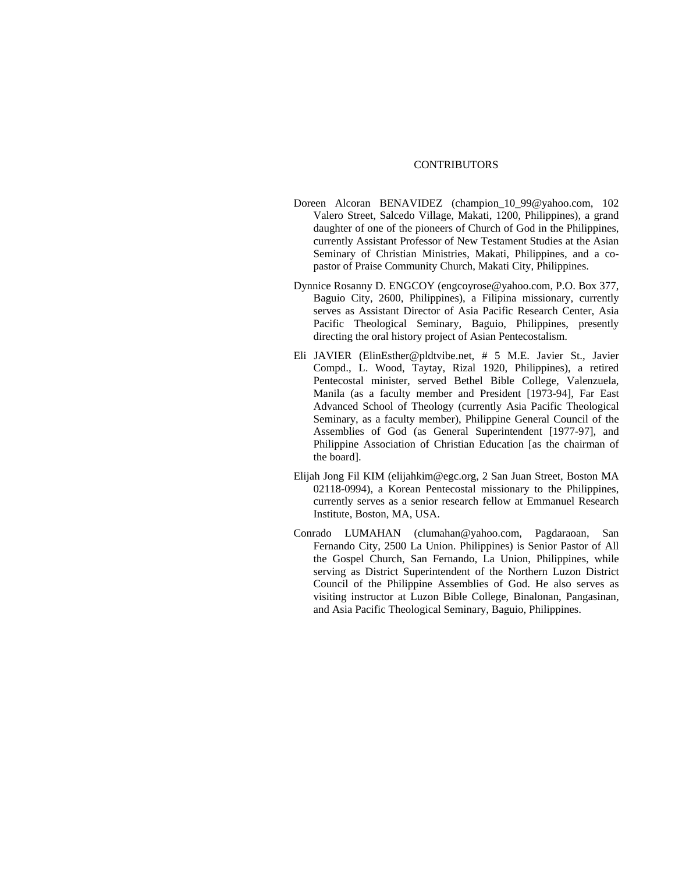## CONTRIBUTORS

- Doreen Alcoran BENAVIDEZ [\(champion\\_10\\_99@yahoo.com,](mailto:champion_10_99@yahoo.com) 102 Valero Street, Salcedo Village, Makati, 1200, Philippines), a grand daughter of one of the pioneers of Church of God in the Philippines, currently Assistant Professor of New Testament Studies at the Asian Seminary of Christian Ministries, Makati, Philippines, and a copastor of Praise Community Church, Makati City, Philippines.
- Dynnice Rosanny D. ENGCOY (engcoyrose@yahoo.com, P.O. Box 377, Baguio City, 2600, Philippines), a Filipina missionary, currently serves as Assistant Director of Asia Pacific Research Center, Asia Pacific Theological Seminary, Baguio, Philippines, presently directing the oral history project of Asian Pentecostalism.
- Eli JAVIER [\(ElinEsther@pldtvibe.net](mailto:ElinEsther@pldtvibe.net), # 5 M.E. Javier St., Javier Compd., L. Wood, Taytay, Rizal 1920, Philippines), a retired Pentecostal minister, served Bethel Bible College, Valenzuela, Manila (as a faculty member and President [1973-94], Far East Advanced School of Theology (currently Asia Pacific Theological Seminary, as a faculty member), Philippine General Council of the Assemblies of God (as General Superintendent [1977-97], and Philippine Association of Christian Education [as the chairman of the board].
- Elijah Jong Fil KIM [\(elijahkim@egc.org](mailto:elijahkim@egc.org), 2 San Juan Street, Boston MA 02118-0994), a Korean Pentecostal missionary to the Philippines, currently serves as a senior research fellow at Emmanuel Research Institute, Boston, MA, USA.
- Conrado LUMAHAN [\(clumahan@yahoo.com](mailto:clumahan@yahoo.com), Pagdaraoan, San Fernando City, 2500 La Union. Philippines) is Senior Pastor of All the Gospel Church, San Fernando, La Union, Philippines, while serving as District Superintendent of the Northern Luzon District Council of the Philippine Assemblies of God. He also serves as visiting instructor at Luzon Bible College, Binalonan, Pangasinan, and Asia Pacific Theological Seminary, Baguio, Philippines.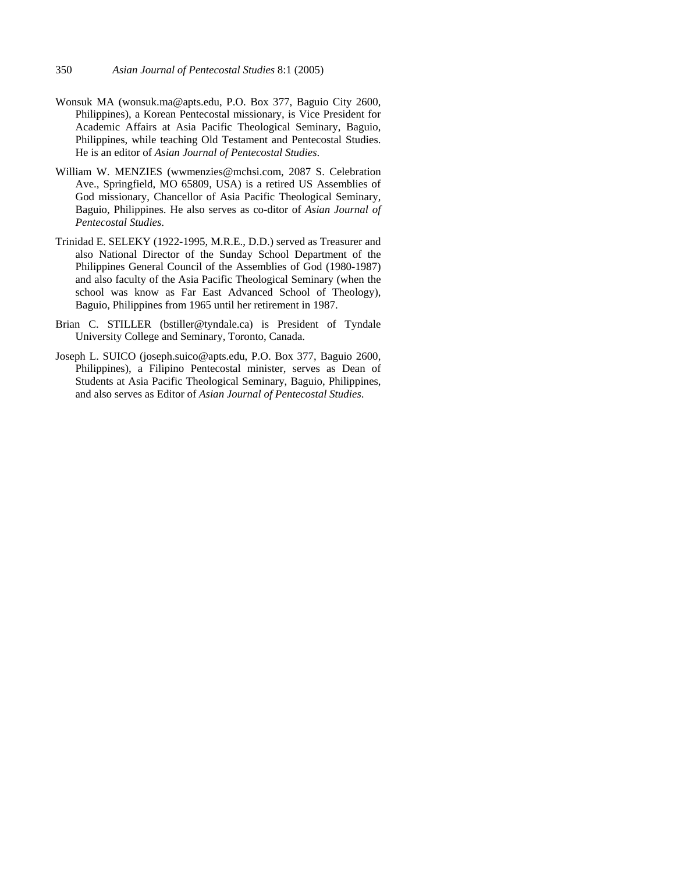- Wonsuk MA [\(wonsuk.ma@apts.edu](mailto:wonsuk.ma@apts.edu), P.O. Box 377, Baguio City 2600, Philippines), a Korean Pentecostal missionary, is Vice President for Academic Affairs at Asia Pacific Theological Seminary, Baguio, Philippines, while teaching Old Testament and Pentecostal Studies. He is an editor of *Asian Journal of Pentecostal Studies*.
- William W. MENZIES (wwmenzies@mchsi.com, 2087 S. Celebration Ave., Springfield, MO 65809, USA) is a retired US Assemblies of God missionary, Chancellor of Asia Pacific Theological Seminary, Baguio, Philippines. He also serves as co-ditor of *Asian Journal of Pentecostal Studies*.
- Trinidad E. SELEKY (1922-1995, M.R.E., D.D.) served as Treasurer and also National Director of the Sunday School Department of the Philippines General Council of the Assemblies of God (1980-1987) and also faculty of the Asia Pacific Theological Seminary (when the school was know as Far East Advanced School of Theology), Baguio, Philippines from 1965 until her retirement in 1987.
- Brian C. STILLER [\(bstiller@tyndale.ca](mailto:bstiller@tyndale.ca)) is President of Tyndale University College and Seminary, Toronto, Canada.
- Joseph L. SUICO [\(joseph.suico@apts.edu](mailto:joseph.suico@apts.edu), P.O. Box 377, Baguio 2600, Philippines), a Filipino Pentecostal minister, serves as Dean of Students at Asia Pacific Theological Seminary, Baguio, Philippines, and also serves as Editor of *Asian Journal of Pentecostal Studies*.